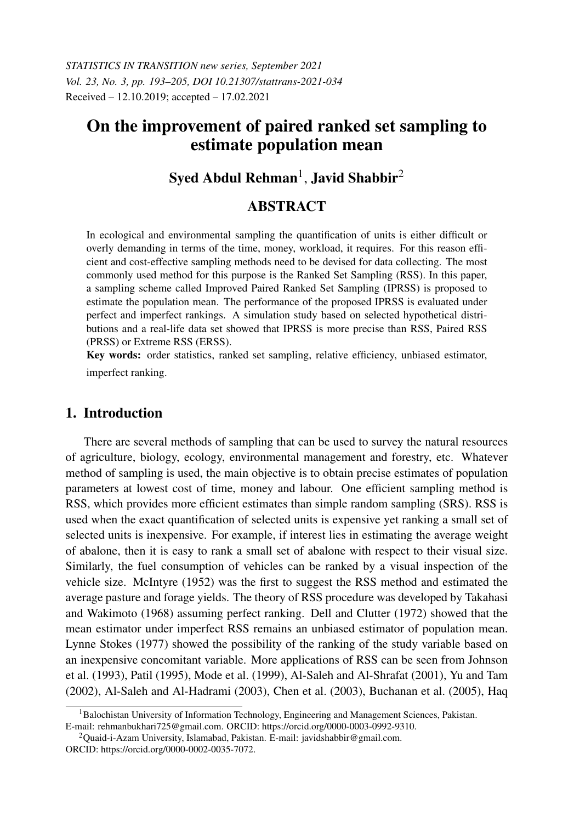*STATISTICS IN TRANSITION new series, September 2021 Vol. 23, No. 3, pp. 193–205, DOI 10.21307/stattrans-2021-034* Received – 12.10.2019; accepted – 17.02.2021

# On the improvement of paired ranked set sampling to estimate population mean

# $\mathbf S$ yed Abdul Rehman $^1$ , Javid Shabbir $^2$

# **ABSTRACT**

In ecological and environmental sampling the quantification of units is either difficult or overly demanding in terms of the time, money, workload, it requires. For this reason efficient and cost-effective sampling methods need to be devised for data collecting. The most commonly used method for this purpose is the Ranked Set Sampling (RSS). In this paper, a sampling scheme called Improved Paired Ranked Set Sampling (IPRSS) is proposed to estimate the population mean. The performance of the proposed IPRSS is evaluated under perfect and imperfect rankings. A simulation study based on selected hypothetical distributions and a real-life data set showed that IPRSS is more precise than RSS, Paired RSS (PRSS) or Extreme RSS (ERSS).

Key words: order statistics, ranked set sampling, relative efficiency, unbiased estimator, imperfect ranking.

# 1. Introduction

There are several methods of sampling that can be used to survey the natural resources of agriculture, biology, ecology, environmental management and forestry, etc. Whatever method of sampling is used, the main objective is to obtain precise estimates of population parameters at lowest cost of time, money and labour. One efficient sampling method is RSS, which provides more efficient estimates than simple random sampling (SRS). RSS is used when the exact quantification of selected units is expensive yet ranking a small set of selected units is inexpensive. For example, if interest lies in estimating the average weight of abalone, then it is easy to rank a small set of abalone with respect to their visual size. Similarly, the fuel consumption of vehicles can be ranked by a visual inspection of the vehicle size. McIntyre (1952) was the first to suggest the RSS method and estimated the average pasture and forage yields. The theory of RSS procedure was developed by Takahasi and Wakimoto (1968) assuming perfect ranking. Dell and Clutter (1972) showed that the mean estimator under imperfect RSS remains an unbiased estimator of population mean. Lynne Stokes (1977) showed the possibility of the ranking of the study variable based on an inexpensive concomitant variable. More applications of RSS can be seen from Johnson et al. (1993), Patil (1995), Mode et al. (1999), Al-Saleh and Al-Shrafat (2001), Yu and Tam (2002), Al-Saleh and Al-Hadrami (2003), Chen et al. (2003), Buchanan et al. (2005), Haq

<sup>1</sup>Balochistan University of Information Technology, Engineering and Management Sciences, Pakistan. E-mail: rehmanbukhari725@gmail.com. ORCID: https://orcid.org/0000-0003-0992-9310.

<sup>2</sup>Quaid-i-Azam University, Islamabad, Pakistan. E-mail: javidshabbir@gmail.com. ORCID: https://orcid.org/0000-0002-0035-7072.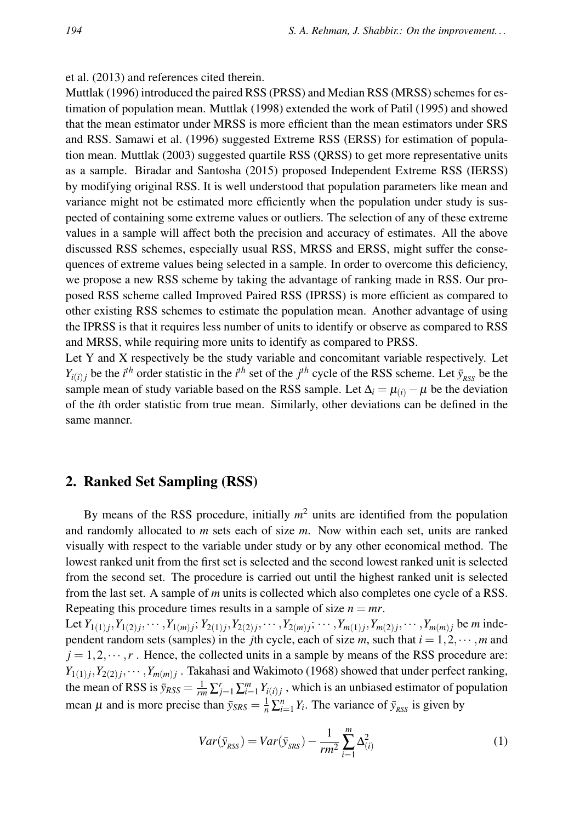#### et al. (2013) and references cited therein.

Muttlak (1996) introduced the paired RSS (PRSS) and Median RSS (MRSS) schemes for estimation of population mean. Muttlak (1998) extended the work of Patil (1995) and showed that the mean estimator under MRSS is more efficient than the mean estimators under SRS and RSS. Samawi et al. (1996) suggested Extreme RSS (ERSS) for estimation of population mean. Muttlak (2003) suggested quartile RSS (QRSS) to get more representative units as a sample. Biradar and Santosha (2015) proposed Independent Extreme RSS (IERSS) by modifying original RSS. It is well understood that population parameters like mean and variance might not be estimated more efficiently when the population under study is suspected of containing some extreme values or outliers. The selection of any of these extreme values in a sample will affect both the precision and accuracy of estimates. All the above discussed RSS schemes, especially usual RSS, MRSS and ERSS, might suffer the consequences of extreme values being selected in a sample. In order to overcome this deficiency, we propose a new RSS scheme by taking the advantage of ranking made in RSS. Our proposed RSS scheme called Improved Paired RSS (IPRSS) is more efficient as compared to other existing RSS schemes to estimate the population mean. Another advantage of using the IPRSS is that it requires less number of units to identify or observe as compared to RSS and MRSS, while requiring more units to identify as compared to PRSS.

Let Y and X respectively be the study variable and concomitant variable respectively. Let *Y*<sub>*i*</sub>(*i*)<sub>*j*</sub> be the *i*<sup>th</sup> order statistic in the *i*<sup>th</sup> set of the *j*<sup>th</sup> cycle of the RSS scheme. Let  $\bar{y}_{RSS}$  be the sample mean of study variable based on the RSS sample. Let  $\Delta_i = \mu_{(i)} - \mu$  be the deviation of the *i*th order statistic from true mean. Similarly, other deviations can be defined in the same manner.

### 2. Ranked Set Sampling (RSS)

By means of the RSS procedure, initially  $m<sup>2</sup>$  units are identified from the population and randomly allocated to *m* sets each of size *m*. Now within each set, units are ranked visually with respect to the variable under study or by any other economical method. The lowest ranked unit from the first set is selected and the second lowest ranked unit is selected from the second set. The procedure is carried out until the highest ranked unit is selected from the last set. A sample of *m* units is collected which also completes one cycle of a RSS. Repeating this procedure times results in a sample of size  $n = mr$ .

Let  $Y_{1(1)j}, Y_{1(2)j}, \dots, Y_{1(m)j}; Y_{2(1)j}, Y_{2(2)j}, \dots, Y_{2(m)j}; \dots, Y_{m(1)j}, Y_{m(2)j}, \dots, Y_{m(m)j}$  be m independent random sets (samples) in the *j*th cycle, each of size *m*, such that  $i = 1, 2, \dots, m$  and  $j = 1, 2, \dots, r$ . Hence, the collected units in a sample by means of the RSS procedure are:  $Y_{1(1)j}$ ,  $Y_{2(2)j}$ ,  $\cdots$  ,  $Y_{m(m)j}$ . Takahasi and Wakimoto (1968) showed that under perfect ranking, the mean of RSS is  $\bar{y}_{RSS} = \frac{1}{rm} \sum_{j=1}^{r} \sum_{i=1}^{m} Y_{i(i)j}$ , which is an unbiased estimator of population mean  $\mu$  and is more precise than  $\bar{y}_{SRS} = \frac{1}{n} \sum_{i=1}^{n} Y_i$ . The variance of  $\bar{y}_{RSS}$  is given by

$$
Var(\bar{y}_{RSS}) = Var(\bar{y}_{SRS}) - \frac{1}{rm^2} \sum_{i=1}^{m} \Delta_{(i)}^2
$$
 (1)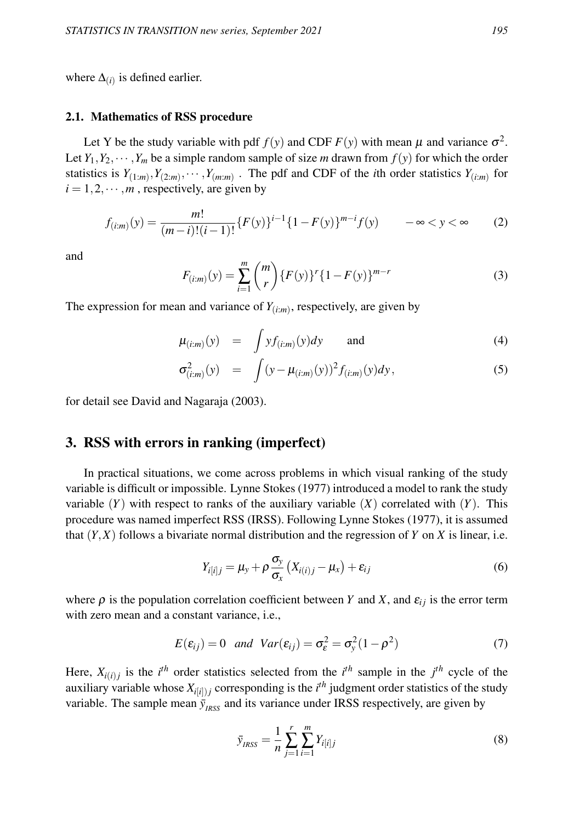where  $\Delta_{(i)}$  is defined earlier.

#### 2.1. Mathematics of RSS procedure

Let Y be the study variable with pdf  $f(y)$  and CDF  $F(y)$  with mean  $\mu$  and variance  $\sigma^2$ . Let  $Y_1, Y_2, \dots, Y_m$  be a simple random sample of size *m* drawn from  $f(y)$  for which the order statistics is  $Y_{(1:m)}, Y_{(2:m)}, \cdots, Y_{(m:m)}$ . The pdf and CDF of the *i*th order statistics  $Y_{(i:m)}$  for  $i = 1, 2, \dots, m$ , respectively, are given by

$$
f_{(i:m)}(y) = \frac{m!}{(m-i)!(i-1)!} \{F(y)\}^{i-1} \{1 - F(y)\}^{m-i} f(y) \qquad -\infty < y < \infty \tag{2}
$$

and

$$
F_{(i:m)}(y) = \sum_{i=1}^{m} {m \choose r} \{F(y)\}^r \{1 - F(y)\}^{m-r}
$$
 (3)

The expression for mean and variance of  $Y_{(i:m)}$ , respectively, are given by

$$
\mu_{(i:m)}(y) = \int y f_{(i:m)}(y) dy \quad \text{and} \quad (4)
$$

$$
\sigma_{(i:m)}^2(y) = \int (y - \mu_{(i:m)}(y))^2 f_{(i:m)}(y) dy, \qquad (5)
$$

for detail see David and Nagaraja (2003).

#### 3. RSS with errors in ranking (imperfect)

In practical situations, we come across problems in which visual ranking of the study variable is difficult or impossible. Lynne Stokes (1977) introduced a model to rank the study variable  $(Y)$  with respect to ranks of the auxiliary variable  $(X)$  correlated with  $(Y)$ . This procedure was named imperfect RSS (IRSS). Following Lynne Stokes (1977), it is assumed that  $(Y, X)$  follows a bivariate normal distribution and the regression of *Y* on *X* is linear, i.e.

$$
Y_{i[i]j} = \mu_{y} + \rho \frac{\sigma_{y}}{\sigma_{x}} (X_{i(i)j} - \mu_{x}) + \varepsilon_{ij}
$$
\n(6)

where  $\rho$  is the population correlation coefficient between *Y* and *X*, and  $\varepsilon_{ij}$  is the error term with zero mean and a constant variance, i.e.,

$$
E(\varepsilon_{ij}) = 0 \quad \text{and} \quad Var(\varepsilon_{ij}) = \sigma_{\varepsilon}^2 = \sigma_{\mathcal{Y}}^2 (1 - \rho^2) \tag{7}
$$

Here,  $X_{i(i)j}$  is the *i*<sup>th</sup> order statistics selected from the *i*<sup>th</sup> sample in the *j*<sup>th</sup> cycle of the auxiliary variable whose  $X_{i[i]j}$  corresponding is the  $i^{th}$  judgment order statistics of the study variable. The sample mean  $\bar{y}_{I RSC}$  and its variance under IRSS respectively, are given by

$$
\bar{y}_{IRSS} = \frac{1}{n} \sum_{j=1}^{r} \sum_{i=1}^{m} Y_{i[i]j} \tag{8}
$$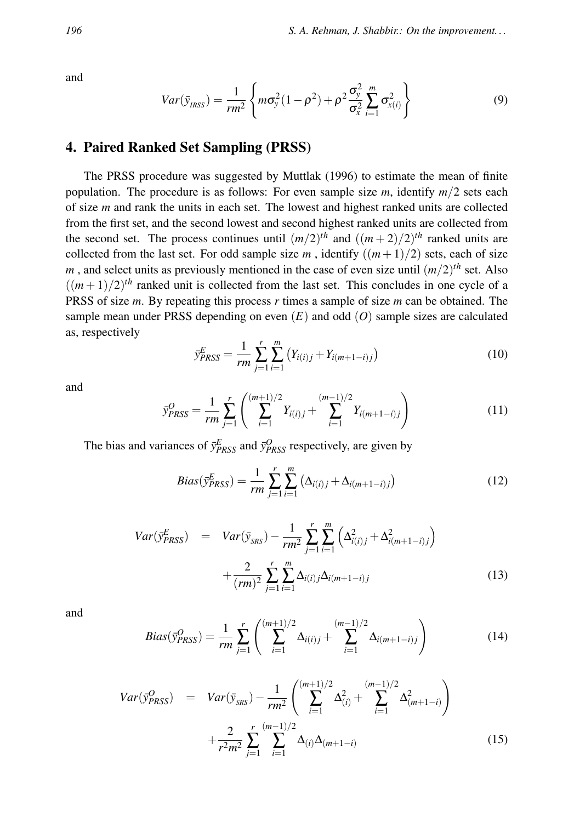and

$$
Var(\bar{y}_{IRSS}) = \frac{1}{rm^2} \left\{ m\sigma_y^2 (1-\rho^2) + \rho^2 \frac{\sigma_y^2}{\sigma_x^2} \sum_{i=1}^m \sigma_{x(i)}^2 \right\}
$$
(9)

## 4. Paired Ranked Set Sampling (PRSS)

The PRSS procedure was suggested by Muttlak (1996) to estimate the mean of finite population. The procedure is as follows: For even sample size *m*, identify *m*/2 sets each of size *m* and rank the units in each set. The lowest and highest ranked units are collected from the first set, and the second lowest and second highest ranked units are collected from the second set. The process continues until  $(m/2)^{th}$  and  $((m+2)/2)^{th}$  ranked units are collected from the last set. For odd sample size  $m$ , identify  $((m+1)/2)$  sets, each of size  $m$ , and select units as previously mentioned in the case of even size until  $(m/2)^{th}$  set. Also  $((m+1)/2)^{th}$  ranked unit is collected from the last set. This concludes in one cycle of a PRSS of size *m*. By repeating this process *r* times a sample of size *m* can be obtained. The sample mean under PRSS depending on even (*E*) and odd (*O*) sample sizes are calculated as, respectively

$$
\bar{y}_{PRSS}^E = \frac{1}{rm} \sum_{j=1}^r \sum_{i=1}^m (Y_{i(i)j} + Y_{i(m+1-i)j})
$$
\n(10)

and

$$
\bar{y}_{PRSS}^O = \frac{1}{rm} \sum_{j=1}^r \left( \sum_{i=1}^{(m+1)/2} Y_{i(i)j} + \sum_{i=1}^{(m-1)/2} Y_{i(m+1-i)j} \right) \tag{11}
$$

The bias and variances of  $\bar{y}^E_{PRSS}$  and  $\bar{y}^O_{PRSS}$  respectively, are given by

$$
Bias(\bar{y}_{PRSS}^E) = \frac{1}{rm} \sum_{j=1}^{r} \sum_{i=1}^{m} (\Delta_{i(i)j} + \Delta_{i(m+1-i)j})
$$
(12)

$$
Var(\bar{y}_{PRSS}^{E}) = Var(\bar{y}_{SRS}) - \frac{1}{rm^2} \sum_{j=1}^{r} \sum_{i=1}^{m} \left( \Delta_{i(i)j}^{2} + \Delta_{i(m+1-i)j}^{2} \right) + \frac{2}{(rm)^2} \sum_{j=1}^{r} \sum_{i=1}^{m} \Delta_{i(i)j} \Delta_{i(m+1-i)j}
$$
(13)

and

$$
Bias(\bar{y}_{PRSS}^O) = \frac{1}{rm} \sum_{j=1}^{r} \left( \sum_{i=1}^{(m+1)/2} \Delta_{i(i)j} + \sum_{i=1}^{(m-1)/2} \Delta_{i(m+1-i)j} \right)
$$
(14)

$$
Var(\bar{y}_{PRSS}^{O}) = Var(\bar{y}_{SRS}) - \frac{1}{rm^2} \left( \sum_{i=1}^{(m+1)/2} \Delta_{(i)}^2 + \sum_{i=1}^{(m-1)/2} \Delta_{(m+1-i)}^2 \right) + \frac{2}{r^2 m^2} \sum_{j=1}^{r} \sum_{i=1}^{(m-1)/2} \Delta_{(i)} \Delta_{(m+1-i)}
$$
(15)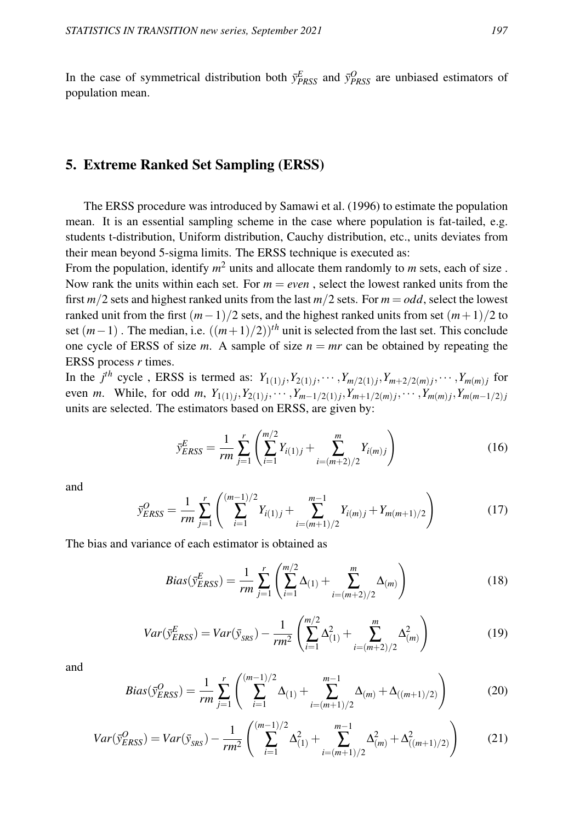In the case of symmetrical distribution both  $\bar{y}_{PRSS}^E$  and  $\bar{y}_{PRSS}^O$  are unbiased estimators of population mean.

## 5. Extreme Ranked Set Sampling (ERSS)

The ERSS procedure was introduced by Samawi et al. (1996) to estimate the population mean. It is an essential sampling scheme in the case where population is fat-tailed, e.g. students t-distribution, Uniform distribution, Cauchy distribution, etc., units deviates from their mean beyond 5-sigma limits. The ERSS technique is executed as:

From the population, identify *m* <sup>2</sup> units and allocate them randomly to *m* sets, each of size . Now rank the units within each set. For  $m = even$ , select the lowest ranked units from the first  $m/2$  sets and highest ranked units from the last  $m/2$  sets. For  $m = odd$ , select the lowest ranked unit from the first  $(m-1)/2$  sets, and the highest ranked units from set  $(m+1)/2$  to set  $(m-1)$ . The median, i.e.  $((m+1)/2)$ <sup>th</sup> unit is selected from the last set. This conclude one cycle of ERSS of size *m*. A sample of size  $n = mr$  can be obtained by repeating the ERSS process *r* times.

In the *j*<sup>th</sup> cycle, ERSS is termed as:  $Y_{1(1)j}$ ,  $Y_{2(1)j}$ ,  $\cdots$ ,  $Y_{m/2(1)j}$ ,  $Y_{m+2/2(m)j}$ ,  $\cdots$ ,  $Y_{m(m)j}$  for even *m*. While, for odd *m*,  $Y_{1(1)j}$ ,  $Y_{2(1)j}$ ,  $\cdots$  ,  $Y_{m-1/2(1)j}$ ,  $Y_{m+1/2(m)j}$ ,  $\cdots$  ,  $Y_{m(m)j}$ ,  $Y_{m(m-1/2)j}$ units are selected. The estimators based on ERSS, are given by:

$$
\bar{y}_{ERSS}^E = \frac{1}{rm} \sum_{j=1}^r \left( \sum_{i=1}^{m/2} Y_{i(1)j} + \sum_{i=(m+2)/2}^m Y_{i(m)j} \right) \tag{16}
$$

and

$$
\bar{y}_{ERSS}^O = \frac{1}{rm} \sum_{j=1}^r \left( \sum_{i=1}^{(m-1)/2} Y_{i(1)j} + \sum_{i=(m+1)/2}^{m-1} Y_{i(m)j} + Y_{m(m+1)/2} \right)
$$
(17)

The bias and variance of each estimator is obtained as

$$
Bias(\bar{y}_{ERSS}^E) = \frac{1}{rm} \sum_{j=1}^r \left( \sum_{i=1}^{m/2} \Delta_{(1)} + \sum_{i=(m+2)/2}^m \Delta_{(m)} \right)
$$
(18)

$$
Var(\bar{y}_{ERSS}^E) = Var(\bar{y}_{SRS}) - \frac{1}{rm^2} \left( \sum_{i=1}^{m/2} \Delta_{(1)}^2 + \sum_{i=(m+2)/2}^{m} \Delta_{(m)}^2 \right)
$$
(19)

and

$$
Bias(\bar{y}_{ERSS}^O) = \frac{1}{rm} \sum_{j=1}^r \left( \sum_{i=1}^{(m-1)/2} \Delta_{(1)} + \sum_{i=(m+1)/2}^{m-1} \Delta_{(m)} + \Delta_{((m+1)/2)} \right)
$$
(20)

$$
Var(\bar{y}_{ERSS}^O) = Var(\bar{y}_{SRS}) - \frac{1}{rm^2} \left( \sum_{i=1}^{(m-1)/2} \Delta_{(1)}^2 + \sum_{i=(m+1)/2}^{m-1} \Delta_{(m)}^2 + \Delta_{((m+1)/2)}^2 \right) \tag{21}
$$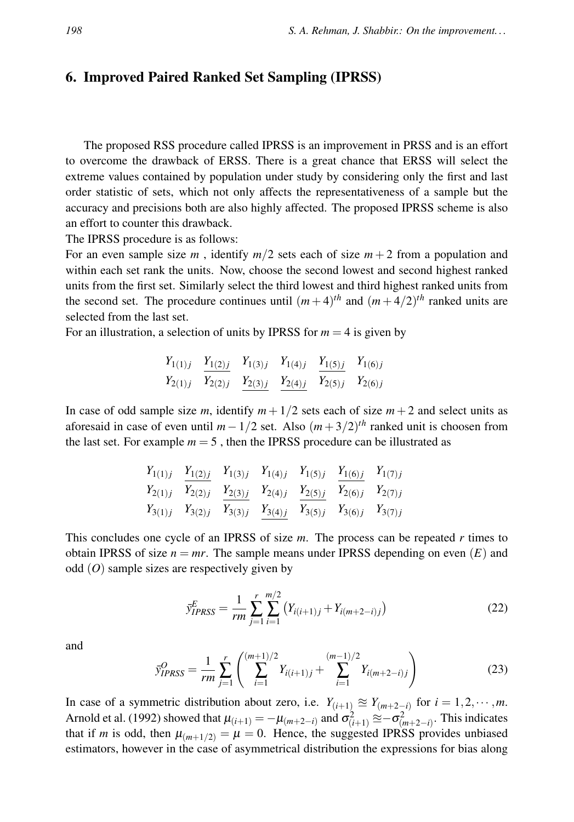## 6. Improved Paired Ranked Set Sampling (IPRSS)

The proposed RSS procedure called IPRSS is an improvement in PRSS and is an effort to overcome the drawback of ERSS. There is a great chance that ERSS will select the extreme values contained by population under study by considering only the first and last order statistic of sets, which not only affects the representativeness of a sample but the accuracy and precisions both are also highly affected. The proposed IPRSS scheme is also an effort to counter this drawback.

The IPRSS procedure is as follows:

For an even sample size *m*, identify  $m/2$  sets each of size  $m + 2$  from a population and within each set rank the units. Now, choose the second lowest and second highest ranked units from the first set. Similarly select the third lowest and third highest ranked units from the second set. The procedure continues until  $(m+4)^{th}$  and  $(m+4/2)^{th}$  ranked units are selected from the last set.

For an illustration, a selection of units by IPRSS for  $m = 4$  is given by

$$
\begin{array}{ccccccccc}\nY_{1(1)j} & Y_{1(2)j} & Y_{1(3)j} & Y_{1(4)j} & Y_{1(5)j} & Y_{1(6)j} \\
Y_{2(1)j} & Y_{2(2)j} & Y_{2(3)j} & Y_{2(4)j} & Y_{2(5)j} & Y_{2(6)j}\n\end{array}
$$

In case of odd sample size *m*, identify  $m + 1/2$  sets each of size  $m + 2$  and select units as aforesaid in case of even until  $m - 1/2$  set. Also  $(m + 3/2)^{th}$  ranked unit is choosen from the last set. For example  $m = 5$ , then the IPRSS procedure can be illustrated as

$$
\begin{array}{ccccccccc}\nY_{1(1)j} & Y_{1(2)j} & Y_{1(3)j} & Y_{1(4)j} & Y_{1(5)j} & Y_{1(6)j} & Y_{1(7)j} \\
Y_{2(1)j} & Y_{2(2)j} & Y_{2(3)j} & Y_{2(4)j} & Y_{2(5)j} & Y_{2(6)j} & Y_{2(7)j} \\
Y_{3(1)j} & Y_{3(2)j} & Y_{3(3)j} & Y_{3(4)j} & Y_{3(5)j} & Y_{3(6)j} & Y_{3(7)j}\n\end{array}
$$

This concludes one cycle of an IPRSS of size *m*. The process can be repeated *r* times to obtain IPRSS of size  $n = mr$ . The sample means under IPRSS depending on even  $(E)$  and odd (*O*) sample sizes are respectively given by

$$
\bar{y}_{IPRSS}^E = \frac{1}{rm} \sum_{j=1}^r \sum_{i=1}^{m/2} \left( Y_{i(i+1)j} + Y_{i(m+2-i)j} \right) \tag{22}
$$

and

$$
\bar{y}_{IPRSS}^O = \frac{1}{rm} \sum_{j=1}^r \left( \sum_{i=1}^{(m+1)/2} Y_{i(i+1)j} + \sum_{i=1}^{(m-1)/2} Y_{i(m+2-i)j} \right)
$$
(23)

In case of a symmetric distribution about zero, i.e.  $Y_{(i+1)} \approx Y_{(m+2-i)}$  for  $i = 1, 2, \dots, m$ . Arnold et al. (1992) showed that  $\mu_{(i+1)} = -\mu_{(m+2-i)}$  and  $\sigma^2_{(i+1)} \approx -\sigma^2_{(m+2-i)}$ . This indicates that if *m* is odd, then  $\mu_{m+1/2} = \mu = 0$ . Hence, the suggested IPRSS provides unbiased estimators, however in the case of asymmetrical distribution the expressions for bias along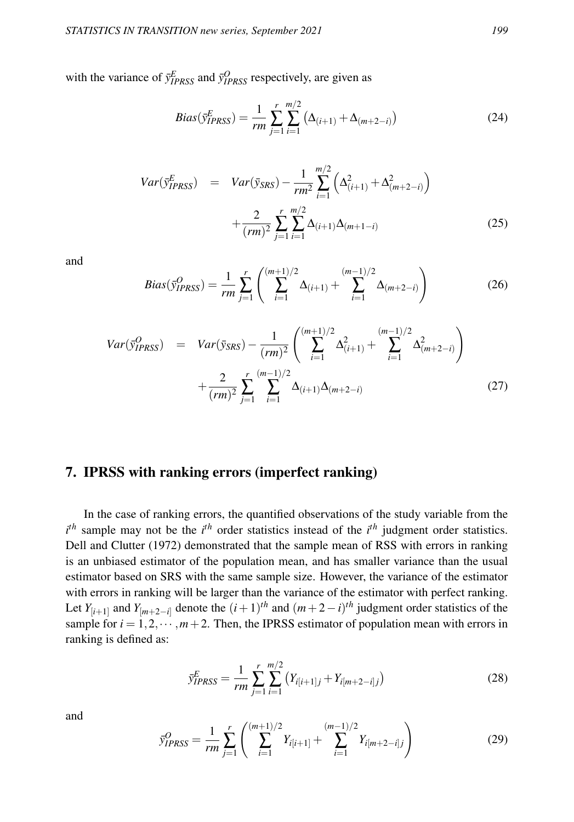with the variance of  $\bar{y}_{IPRSS}^E$  and  $\bar{y}_{IPRSS}^O$  respectively, are given as

$$
Bias(\bar{y}_{IPRSS}^E) = \frac{1}{rm} \sum_{j=1}^{r} \sum_{i=1}^{m/2} (\Delta_{(i+1)} + \Delta_{(m+2-i)})
$$
(24)

$$
Var(\bar{y}_{IPRSS}^E) = Var(\bar{y}_{SRS}) - \frac{1}{rm^2} \sum_{i=1}^{m/2} \left( \Delta_{(i+1)}^2 + \Delta_{(m+2-i)}^2 \right) + \frac{2}{(rm)^2} \sum_{j=1}^r \sum_{i=1}^{m/2} \Delta_{(i+1)} \Delta_{(m+1-i)}
$$
(25)

and

$$
Bias(\bar{y}_{IPRSS}^O) = \frac{1}{rm} \sum_{j=1}^r \left( \sum_{i=1}^{(m+1)/2} \Delta_{(i+1)} + \sum_{i=1}^{(m-1)/2} \Delta_{(m+2-i)} \right)
$$
(26)

$$
Var(\bar{y}_{IPRSS}^O) = Var(\bar{y}_{SRS}) - \frac{1}{(rm)^2} \left( \sum_{i=1}^{(m+1)/2} \Delta_{(i+1)}^2 + \sum_{i=1}^{(m-1)/2} \Delta_{(m+2-i)}^2 \right) + \frac{2}{(rm)^2} \sum_{j=1}^r \sum_{i=1}^{(m-1)/2} \Delta_{(i+1)} \Delta_{(m+2-i)}
$$
(27)

# 7. IPRSS with ranking errors (imperfect ranking)

In the case of ranking errors, the quantified observations of the study variable from the  $i<sup>th</sup>$  sample may not be the  $i<sup>th</sup>$  order statistics instead of the  $i<sup>th</sup>$  judgment order statistics. Dell and Clutter (1972) demonstrated that the sample mean of RSS with errors in ranking is an unbiased estimator of the population mean, and has smaller variance than the usual estimator based on SRS with the same sample size. However, the variance of the estimator with errors in ranking will be larger than the variance of the estimator with perfect ranking. Let  $Y_{[i+1]}$  and  $Y_{[m+2-i]}$  denote the  $(i+1)^{th}$  and  $(m+2-i)^{th}$  judgment order statistics of the sample for  $i = 1, 2, \dots, m+2$ . Then, the IPRSS estimator of population mean with errors in ranking is defined as:

$$
\bar{y}_{IPRSS}^E = \frac{1}{rm} \sum_{j=1}^r \sum_{i=1}^{m/2} \left( Y_{i[i+1]j} + Y_{i[m+2-i]j} \right) \tag{28}
$$

and

$$
\bar{y}_{IPRSS}^O = \frac{1}{rm} \sum_{j=1}^r \left( \sum_{i=1}^{(m+1)/2} Y_{i[i+1]} + \sum_{i=1}^{(m-1)/2} Y_{i[m+2-i]j} \right) \tag{29}
$$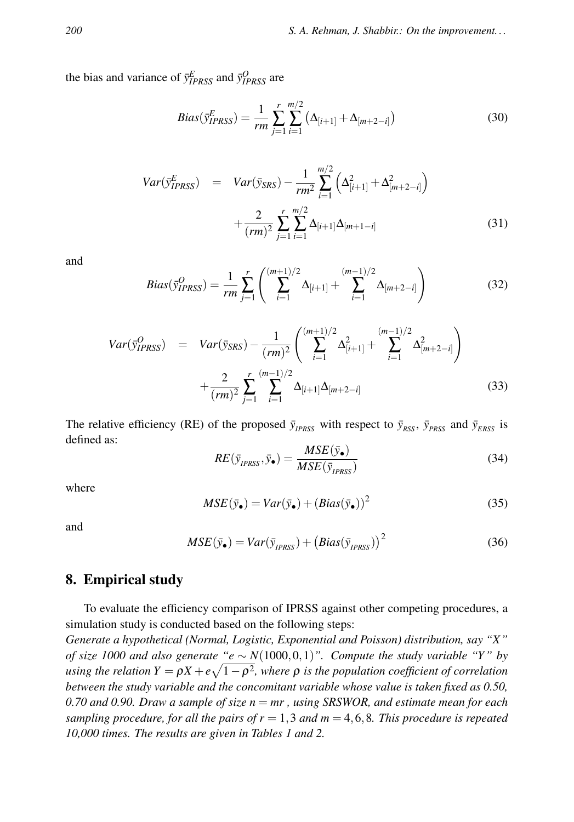the bias and variance of  $\bar{y}_{IPRSS}^E$  and  $\bar{y}_{IPRSS}^O$  are

$$
Bias(\bar{y}_{IPRSS}^E) = \frac{1}{rm} \sum_{j=1}^{r} \sum_{i=1}^{m/2} (\Delta_{[i+1]} + \Delta_{[m+2-i]})
$$
(30)

$$
Var(\bar{y}_{IPRSS}^E) = Var(\bar{y}_{SRS}) - \frac{1}{rm^2} \sum_{i=1}^{m/2} \left( \Delta_{[i+1]}^2 + \Delta_{[m+2-i]}^2 \right) + \frac{2}{(rm)^2} \sum_{j=1}^r \sum_{i=1}^{m/2} \Delta_{[i+1]} \Delta_{[m+1-i]}
$$
(31)

and

$$
Bias(\bar{y}_{IPRSS}^O) = \frac{1}{rm} \sum_{j=1}^r \left( \sum_{i=1}^{(m+1)/2} \Delta_{[i+1]} + \sum_{i=1}^{(m-1)/2} \Delta_{[m+2-i]} \right)
$$
(32)

$$
Var(\bar{y}_{IPRSS}^O) = Var(\bar{y}_{SRS}) - \frac{1}{(rm)^2} \left( \sum_{i=1}^{(m+1)/2} \Delta_{[i+1]}^2 + \sum_{i=1}^{(m-1)/2} \Delta_{[m+2-i]}^2 \right) + \frac{2}{(rm)^2} \sum_{j=1}^r \sum_{i=1}^{(m-1)/2} \Delta_{[i+1]} \Delta_{[m+2-i]}
$$
(33)

The relative efficiency (RE) of the proposed  $\bar{y}_{IPRSS}$  with respect to  $\bar{y}_{RSS}$ ,  $\bar{y}_{PRSS}$  and  $\bar{y}_{ERS}$  is defined as:

$$
RE(\bar{y}_{IPRSS}, \bar{y}_\bullet) = \frac{MSE(\bar{y}_\bullet)}{MSE(\bar{y}_{IPRSS})}
$$
(34)

where

$$
MSE(\bar{y}_{\bullet}) = Var(\bar{y}_{\bullet}) + (Bias(\bar{y}_{\bullet}))^{2}
$$
\n(35)

and

$$
MSE(\bar{y}_{\bullet}) = Var(\bar{y}_{IPRSS}) + (Bias(\bar{y}_{IPRSS}))^{2}
$$
\n(36)

#### 8. Empirical study

To evaluate the efficiency comparison of IPRSS against other competing procedures, a simulation study is conducted based on the following steps:

*Generate a hypothetical (Normal, Logistic, Exponential and Poisson) distribution, say "X" of size 1000 and also generate "e* ∼ *N*(1000,0,1)*". Compute the study variable "Y " by using the relation*  $Y = \rho X + e\sqrt{1-\rho^2}$ , where  $\rho$  *is the population coefficient of correlation between the study variable and the concomitant variable whose value is taken fixed as 0.50, 0.70 and 0.90. Draw a sample of size n* = *mr , using SRSWOR, and estimate mean for each sampling procedure, for all the pairs of r* = 1,3 *and m* = 4,6,8*. This procedure is repeated 10,000 times. The results are given in Tables 1 and 2.*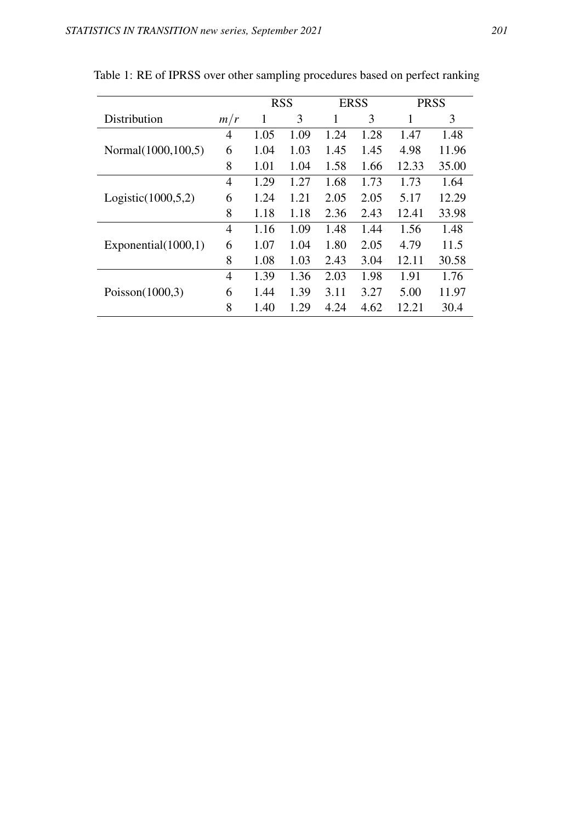|                        |                | <b>RSS</b> |      | <b>ERSS</b> |      | <b>PRSS</b> |       |
|------------------------|----------------|------------|------|-------------|------|-------------|-------|
| Distribution           | m/r            | 1          | 3    | 1           | 3    | 1           | 3     |
|                        | 4              | 1.05       | 1.09 | 1.24        | 1.28 | 1.47        | 1.48  |
| Normal(1000,100,5)     | 6              | 1.04       | 1.03 | 1.45        | 1.45 | 4.98        | 11.96 |
|                        | 8              | 1.01       | 1.04 | 1.58        | 1.66 | 12.33       | 35.00 |
| Logistic(1000, 5, 2)   | 4              | 1.29       | 1.27 | 1.68        | 1.73 | 1.73        | 1.64  |
|                        | 6              | 1.24       | 1.21 | 2.05        | 2.05 | 5.17        | 12.29 |
|                        | 8              | 1.18       | 1.18 | 2.36        | 2.43 | 12.41       | 33.98 |
|                        | $\overline{4}$ | 1.16       | 1.09 | 1.48        | 1.44 | 1.56        | 1.48  |
| Exponential $(1000,1)$ | 6              | 1.07       | 1.04 | 1.80        | 2.05 | 4.79        | 11.5  |
|                        | 8              | 1.08       | 1.03 | 2.43        | 3.04 | 12.11       | 30.58 |
|                        | 4              | 1.39       | 1.36 | 2.03        | 1.98 | 1.91        | 1.76  |
| Poisson $(1000,3)$     | 6              | 1.44       | 1.39 | 3.11        | 3.27 | 5.00        | 11.97 |
|                        | 8              | 1.40       | 1.29 | 4.24        | 4.62 | 12.21       | 30.4  |

Table 1: RE of IPRSS over other sampling procedures based on perfect ranking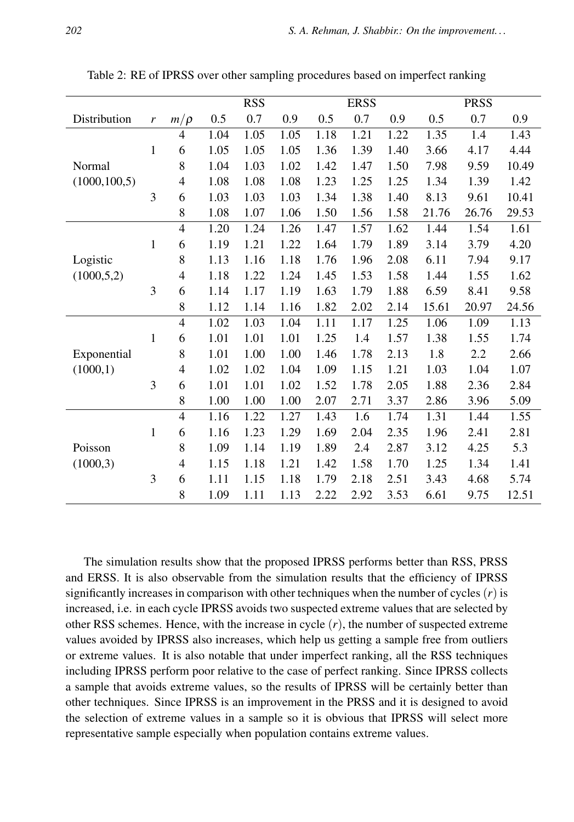|                |              |                |      | <b>RSS</b> |      | <b>ERSS</b> |      |      | <b>PRSS</b> |       |       |
|----------------|--------------|----------------|------|------------|------|-------------|------|------|-------------|-------|-------|
| Distribution   | r            | $m/\rho$       | 0.5  | 0.7        | 0.9  | 0.5         | 0.7  | 0.9  | 0.5         | 0.7   | 0.9   |
|                |              | $\overline{4}$ | 1.04 | 1.05       | 1.05 | 1.18        | 1.21 | 1.22 | 1.35        | 1.4   | 1.43  |
|                | 1            | 6              | 1.05 | 1.05       | 1.05 | 1.36        | 1.39 | 1.40 | 3.66        | 4.17  | 4.44  |
| Normal         |              | 8              | 1.04 | 1.03       | 1.02 | 1.42        | 1.47 | 1.50 | 7.98        | 9.59  | 10.49 |
| (1000, 100, 5) |              | 4              | 1.08 | 1.08       | 1.08 | 1.23        | 1.25 | 1.25 | 1.34        | 1.39  | 1.42  |
|                | 3            | 6              | 1.03 | 1.03       | 1.03 | 1.34        | 1.38 | 1.40 | 8.13        | 9.61  | 10.41 |
|                |              | 8              | 1.08 | 1.07       | 1.06 | 1.50        | 1.56 | 1.58 | 21.76       | 26.76 | 29.53 |
|                |              | $\overline{4}$ | 1.20 | 1.24       | 1.26 | 1.47        | 1.57 | 1.62 | 1.44        | 1.54  | 1.61  |
|                | $\mathbf{1}$ | 6              | 1.19 | 1.21       | 1.22 | 1.64        | 1.79 | 1.89 | 3.14        | 3.79  | 4.20  |
| Logistic       |              | 8              | 1.13 | 1.16       | 1.18 | 1.76        | 1.96 | 2.08 | 6.11        | 7.94  | 9.17  |
| (1000, 5, 2)   |              | 4              | 1.18 | 1.22       | 1.24 | 1.45        | 1.53 | 1.58 | 1.44        | 1.55  | 1.62  |
|                | 3            | 6              | 1.14 | 1.17       | 1.19 | 1.63        | 1.79 | 1.88 | 6.59        | 8.41  | 9.58  |
|                |              | 8              | 1.12 | 1.14       | 1.16 | 1.82        | 2.02 | 2.14 | 15.61       | 20.97 | 24.56 |
|                |              | $\overline{4}$ | 1.02 | 1.03       | 1.04 | 1.11        | 1.17 | 1.25 | 1.06        | 1.09  | 1.13  |
|                | 1            | 6              | 1.01 | 1.01       | 1.01 | 1.25        | 1.4  | 1.57 | 1.38        | 1.55  | 1.74  |
| Exponential    |              | 8              | 1.01 | 1.00       | 1.00 | 1.46        | 1.78 | 2.13 | 1.8         | 2.2   | 2.66  |
| (1000,1)       |              | $\overline{4}$ | 1.02 | 1.02       | 1.04 | 1.09        | 1.15 | 1.21 | 1.03        | 1.04  | 1.07  |
|                | 3            | 6              | 1.01 | 1.01       | 1.02 | 1.52        | 1.78 | 2.05 | 1.88        | 2.36  | 2.84  |
|                |              | 8              | 1.00 | 1.00       | 1.00 | 2.07        | 2.71 | 3.37 | 2.86        | 3.96  | 5.09  |
|                |              | $\overline{4}$ | 1.16 | 1.22       | 1.27 | 1.43        | 1.6  | 1.74 | 1.31        | 1.44  | 1.55  |
|                | $\mathbf{1}$ | 6              | 1.16 | 1.23       | 1.29 | 1.69        | 2.04 | 2.35 | 1.96        | 2.41  | 2.81  |
| Poisson        |              | 8              | 1.09 | 1.14       | 1.19 | 1.89        | 2.4  | 2.87 | 3.12        | 4.25  | 5.3   |
| (1000, 3)      |              | $\overline{4}$ | 1.15 | 1.18       | 1.21 | 1.42        | 1.58 | 1.70 | 1.25        | 1.34  | 1.41  |
|                | 3            | 6              | 1.11 | 1.15       | 1.18 | 1.79        | 2.18 | 2.51 | 3.43        | 4.68  | 5.74  |
|                |              | 8              | 1.09 | 1.11       | 1.13 | 2.22        | 2.92 | 3.53 | 6.61        | 9.75  | 12.51 |

Table 2: RE of IPRSS over other sampling procedures based on imperfect ranking

The simulation results show that the proposed IPRSS performs better than RSS, PRSS and ERSS. It is also observable from the simulation results that the efficiency of IPRSS significantly increases in comparison with other techniques when the number of cycles  $(r)$  is increased, i.e. in each cycle IPRSS avoids two suspected extreme values that are selected by other RSS schemes. Hence, with the increase in cycle (*r*), the number of suspected extreme values avoided by IPRSS also increases, which help us getting a sample free from outliers or extreme values. It is also notable that under imperfect ranking, all the RSS techniques including IPRSS perform poor relative to the case of perfect ranking. Since IPRSS collects a sample that avoids extreme values, so the results of IPRSS will be certainly better than other techniques. Since IPRSS is an improvement in the PRSS and it is designed to avoid the selection of extreme values in a sample so it is obvious that IPRSS will select more representative sample especially when population contains extreme values.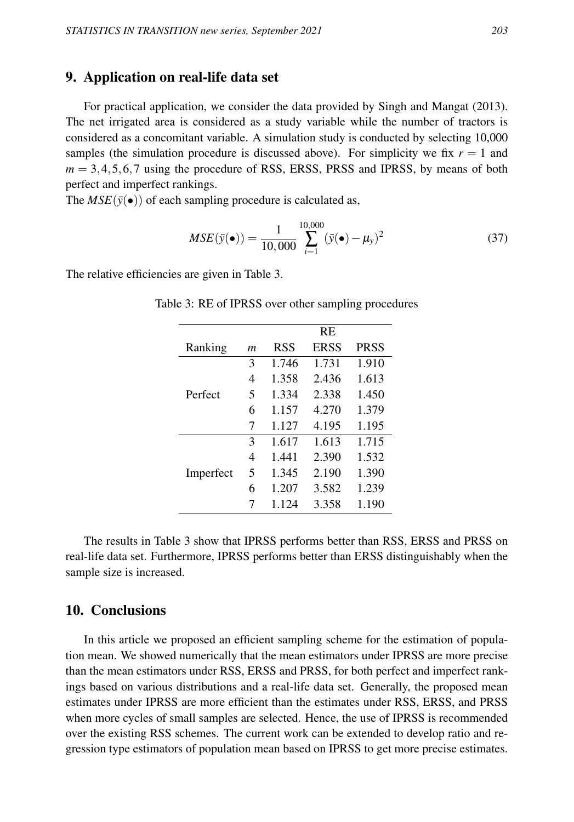### 9. Application on real-life data set

For practical application, we consider the data provided by Singh and Mangat (2013). The net irrigated area is considered as a study variable while the number of tractors is considered as a concomitant variable. A simulation study is conducted by selecting 10,000 samples (the simulation procedure is discussed above). For simplicity we fix  $r = 1$  and  $m = 3, 4, 5, 6, 7$  using the procedure of RSS, ERSS, PRSS and IPRSS, by means of both perfect and imperfect rankings.

The  $MSE(\bar{y}(\bullet))$  of each sampling procedure is calculated as,

$$
MSE(\bar{y}(\bullet)) = \frac{1}{10,000} \sum_{i=1}^{10,000} (\bar{y}(\bullet) - \mu_y)^2
$$
 (37)

The relative efficiencies are given in Table 3.

|           |   |       | RE.         |             |
|-----------|---|-------|-------------|-------------|
| Ranking   | m | RSS   | <b>ERSS</b> | <b>PRSS</b> |
|           | 3 | 1.746 | 1.731       | 1.910       |
|           | 4 | 1.358 | 2.436       | 1.613       |
| Perfect   | 5 | 1.334 | 2.338       | 1.450       |
|           | 6 | 1.157 | 4.270       | 1.379       |
|           | 7 | 1.127 | 4.195       | 1.195       |
|           | 3 | 1.617 | 1.613       | 1.715       |
|           | 4 | 1.441 | 2.390       | 1.532       |
| Imperfect | 5 | 1.345 | 2.190       | 1.390       |
|           | 6 | 1.207 | 3.582       | 1.239       |
|           | 7 | 1.124 | 3.358       | 1.190       |

Table 3: RE of IPRSS over other sampling procedures

The results in Table 3 show that IPRSS performs better than RSS, ERSS and PRSS on real-life data set. Furthermore, IPRSS performs better than ERSS distinguishably when the sample size is increased.

### 10. Conclusions

In this article we proposed an efficient sampling scheme for the estimation of population mean. We showed numerically that the mean estimators under IPRSS are more precise than the mean estimators under RSS, ERSS and PRSS, for both perfect and imperfect rankings based on various distributions and a real-life data set. Generally, the proposed mean estimates under IPRSS are more efficient than the estimates under RSS, ERSS, and PRSS when more cycles of small samples are selected. Hence, the use of IPRSS is recommended over the existing RSS schemes. The current work can be extended to develop ratio and regression type estimators of population mean based on IPRSS to get more precise estimates.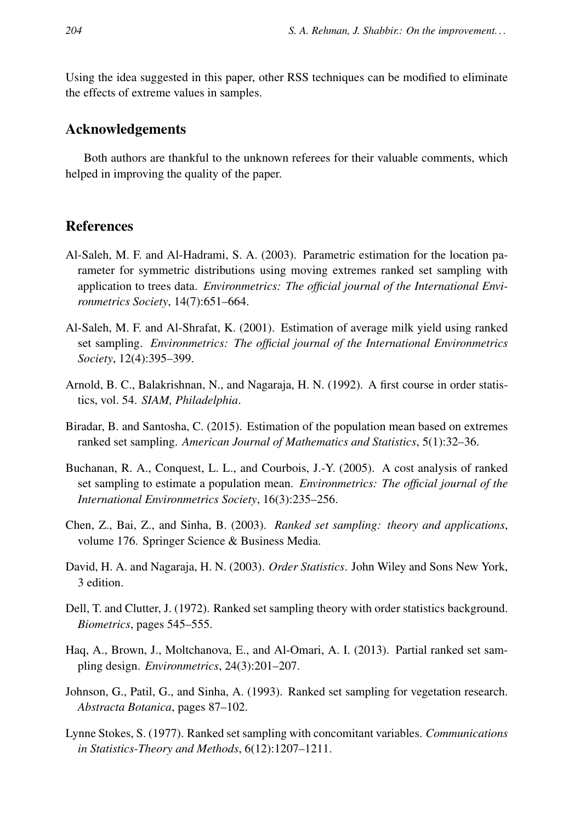Using the idea suggested in this paper, other RSS techniques can be modified to eliminate the effects of extreme values in samples.

### Acknowledgements

Both authors are thankful to the unknown referees for their valuable comments, which helped in improving the quality of the paper.

# References

- Al-Saleh, M. F. and Al-Hadrami, S. A. (2003). Parametric estimation for the location parameter for symmetric distributions using moving extremes ranked set sampling with application to trees data. *Environmetrics: The official journal of the International Environmetrics Society*, 14(7):651–664.
- Al-Saleh, M. F. and Al-Shrafat, K. (2001). Estimation of average milk yield using ranked set sampling. *Environmetrics: The official journal of the International Environmetrics Society*, 12(4):395–399.
- Arnold, B. C., Balakrishnan, N., and Nagaraja, H. N. (1992). A first course in order statistics, vol. 54. *SIAM, Philadelphia*.
- Biradar, B. and Santosha, C. (2015). Estimation of the population mean based on extremes ranked set sampling. *American Journal of Mathematics and Statistics*, 5(1):32–36.
- Buchanan, R. A., Conquest, L. L., and Courbois, J.-Y. (2005). A cost analysis of ranked set sampling to estimate a population mean. *Environmetrics: The official journal of the International Environmetrics Society*, 16(3):235–256.
- Chen, Z., Bai, Z., and Sinha, B. (2003). *Ranked set sampling: theory and applications*, volume 176. Springer Science & Business Media.
- David, H. A. and Nagaraja, H. N. (2003). *Order Statistics*. John Wiley and Sons New York, 3 edition.
- Dell, T. and Clutter, J. (1972). Ranked set sampling theory with order statistics background. *Biometrics*, pages 545–555.
- Haq, A., Brown, J., Moltchanova, E., and Al-Omari, A. I. (2013). Partial ranked set sampling design. *Environmetrics*, 24(3):201–207.
- Johnson, G., Patil, G., and Sinha, A. (1993). Ranked set sampling for vegetation research. *Abstracta Botanica*, pages 87–102.
- Lynne Stokes, S. (1977). Ranked set sampling with concomitant variables. *Communications in Statistics-Theory and Methods*, 6(12):1207–1211.